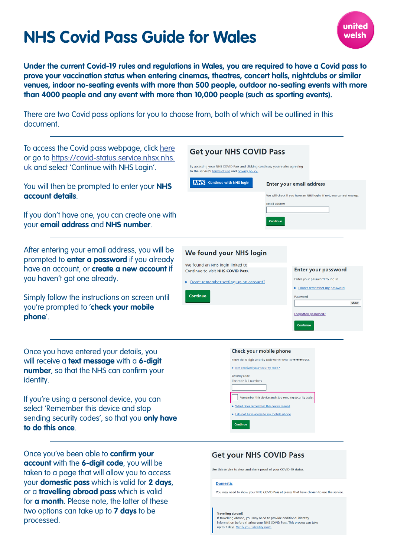# **NHS Covid Pass Guide for Wales**



**Under the current Covid-19 rules and regulations in Wales, you are required to have a Covid pass to prove your vaccination status when entering cinemas, theatres, concert halls, nightclubs or similar venues, indoor no-seating events with more than 500 people, outdoor no-seating events with more than 4000 people and any event with more than 10,000 people (such as sporting events).** 

There are two Covid pass options for you to choose from, both of which will be outlined in this document.

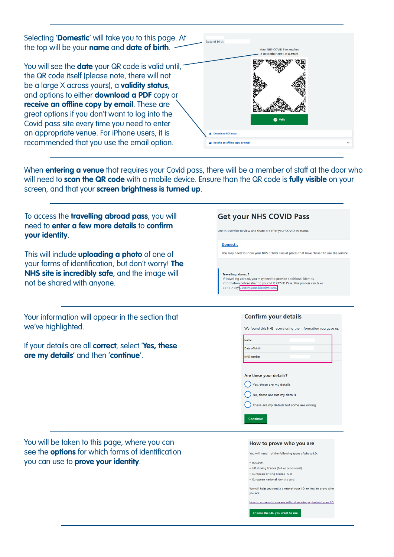Selecting '**Domestic**' will take you to this page. At Date of birth: the top will be your **name** and **date of birth**. Your NHS COVID Pass expire eo no 1 assempin<br>er 2021 at 8.39ar You will see the **date** your QR code is valid until, the QR code itself (please note, there will not be a large X across yours), a **validity status**, and options to either **download a PDF** copy or **receive an offline copy by email**. These are great options if you don't want to log into the **O** Valid Covid pass site every time you need to enter an appropriate venue. For iPhone users, it is d PDF copy recommended that you use the email option. eive an offline copy by emai

When **entering a venue** that requires your Covid pass, there will be a member of staff at the door who will need to **scan the QR code** with a mobile device. Ensure than the QR code is **fully visible** on your screen, and that your **screen brightness is turned up**.

| To access the travelling abroad pass, you will<br>need to enter a few more details to confirm<br>your identity.                                                                             | <b>Get your NHS COVID Pass</b><br>Use this service to view and share proof of your COVID-19 status.                                                                                                                                                                                                                                                                                                                      |  |  |
|---------------------------------------------------------------------------------------------------------------------------------------------------------------------------------------------|--------------------------------------------------------------------------------------------------------------------------------------------------------------------------------------------------------------------------------------------------------------------------------------------------------------------------------------------------------------------------------------------------------------------------|--|--|
| This will include <b>uploading a photo</b> of one of<br>your forms of identification, but don't worry! The<br>NHS site is incredibly safe, and the image will<br>not be shared with anyone. | <b>Domestic</b><br>You may need to show your NHS COVID Pass at places that have chosen to use the service.<br><b>Travelling abroad?</b><br>If travelling abroad, you may need to provide additional identity<br>information before sharing your NHS COVID Pass. This process can take<br>up to 7 days Verify your identity now.                                                                                          |  |  |
| Your information will appear in the section that<br>we've highlighted.<br>If your details are all correct, select 'Yes, these<br>are my details' and then 'continue'.                       | <b>Confirm your details</b><br>We found this NHS record using the information you gave us.<br><b>Name</b><br>Date of birth<br><b>NHS</b> number<br>Are these your details?<br>Yes, these are my details<br>No, these are not my details<br>These are my details but some are wrong<br><b>Continue</b>                                                                                                                    |  |  |
| You will be taken to this page, where you can<br>see the <b>options</b> for which forms of identification<br>you can use to <b>prove your identity</b> .                                    | How to prove who you are<br>You will need 1 of the following types of photo I.D:<br>• passport<br>• UK driving licence (full or provisional)<br>• European driving licence (full)<br>· European national identity card<br>We will help you send a photo of your I.D. online, to prove who<br>you are.<br>How to prove who you are without sending a photo of your I.D.<br><b>Chairman About IN</b> Accountable and their |  |  |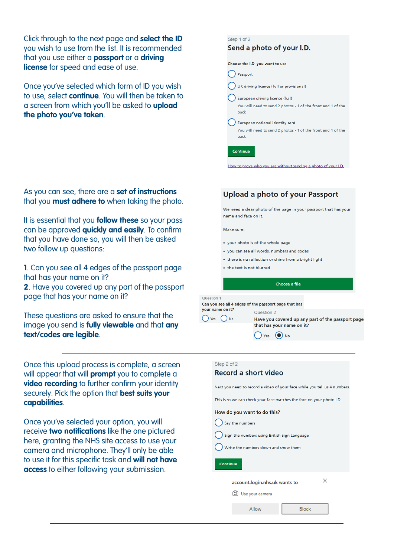Click through to the next page and **select the ID**  you wish to use from the list. It is recommended that you use either a **passport** or a **driving license** for speed and ease of use.

Once you've selected which form of ID you wish to use, select **continue**. You will then be taken to a screen from which you'll be asked to **upload the photo you've taken**.

| Step 1 of 2                                                          |  |  |
|----------------------------------------------------------------------|--|--|
| Send a photo of your I.D.                                            |  |  |
|                                                                      |  |  |
| Choose the I.D. you want to use                                      |  |  |
| Passport                                                             |  |  |
| UK driving licence (full or provisional)                             |  |  |
| European driving licence (full)                                      |  |  |
| You will need to send 2 photos - 1 of the front and 1 of the<br>back |  |  |
| European national identity card                                      |  |  |
| You will need to send 2 photos - 1 of the front and 1 of the<br>back |  |  |
| Continue                                                             |  |  |

As you can see, there are a **set of instructions** that you **must adhere to** when taking the photo.

It is essential that you **follow these** so your pass can be approved **quickly and easily**. To confirm that you have done so, you will then be asked two follow up questions:

**1**. Can you see all 4 edges of the passport page that has your name on it?

**2**. Have you covered up any part of the passport page that has your name on it?

These questions are asked to ensure that the image you send is **fully viewable** and that **any text/codes are legible**.

Once this upload process is complete, a screen will appear that will **prompt** you to complete a **video recording** to further confirm your identity securely. Pick the option that **best suits your capabilities**.

Once you've selected your option, you will receive **two notifications** like the one pictured here, granting the NHS site access to use your camera and microphone. They'll only be able to use it for this specific task and **will not have access** to either following your submission.

### **Upload a photo of your Passport**

How to prove who you are without sending a photo of your I.D.

We need a clear photo of the page in your passport that has your name and face on it.

Make sure:

- your photo is of the whole page
- . you can see all words, numbers and codes
- there is no reflection or shine from a bright light
- . the text is not blurred

Choose a file

Question 1 Can you see all 4 edges of the passport page that has



Question 2 Have you covered up any part of the passport page that has your name on it?



| Step 2 of 2                                                           |                                                                           |              |  |  |
|-----------------------------------------------------------------------|---------------------------------------------------------------------------|--------------|--|--|
| Record a short video                                                  |                                                                           |              |  |  |
|                                                                       |                                                                           |              |  |  |
|                                                                       | Next you need to record a video of your face while you tell us 4 numbers. |              |  |  |
| This is so we can check your face matches the face on your photo I.D. |                                                                           |              |  |  |
|                                                                       | How do you want to do this?                                               |              |  |  |
|                                                                       | Say the numbers                                                           |              |  |  |
| Sign the numbers using British Sign Language                          |                                                                           |              |  |  |
| Write the numbers down and show them                                  |                                                                           |              |  |  |
| <b>Continue</b>                                                       |                                                                           |              |  |  |
| ×<br>account.login.nhs.uk wants to                                    |                                                                           |              |  |  |
| Use your camera                                                       |                                                                           |              |  |  |
|                                                                       | Allow                                                                     | <b>Block</b> |  |  |